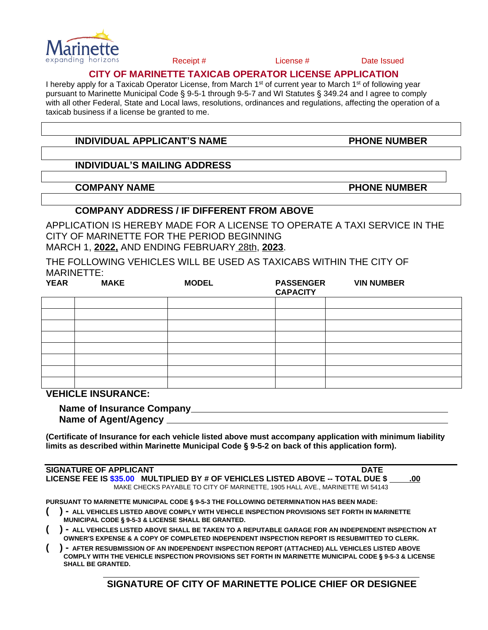

Receipt # License # Date Issued

## **CITY OF MARINETTE TAXICAB OPERATOR LICENSE APPLICATION**

I hereby apply for a Taxicab Operator License, from March 1<sup>st</sup> of current year to March 1<sup>st</sup> of following year pursuant to Marinette Municipal Code § 9-5-1 through 9-5-7 and WI Statutes § 349.24 and I agree to comply with all other Federal, State and Local laws, resolutions, ordinances and regulations, affecting the operation of a taxicab business if a license be granted to me.

# **INDIVIDUAL APPLICANT'S NAME PHONE NUMBER**

## **INDIVIDUAL'S MAILING ADDRESS**

**COMPANY NAME EXAMPLE AND RESERVE THE PHONE NUMBER** 

# **COMPANY ADDRESS / IF DIFFERENT FROM ABOVE**

APPLICATION IS HEREBY MADE FOR A LICENSE TO OPERATE A TAXI SERVICE IN THE CITY OF MARINETTE FOR THE PERIOD BEGINNING MARCH 1, **2022,** AND ENDING FEBRUARY 28th, **2023**.

THE FOLLOWING VEHICLES WILL BE USED AS TAXICABS WITHIN THE CITY OF MARINETTE:

| <b>YEAR</b> | <b>MAKE</b> | <b>MODEL</b> | <b>PASSENGER</b><br><b>CAPACITY</b> | <b>VIN NUMBER</b> |
|-------------|-------------|--------------|-------------------------------------|-------------------|
|             |             |              |                                     |                   |
|             |             |              |                                     |                   |
|             |             |              |                                     |                   |
|             |             |              |                                     |                   |
|             |             |              |                                     |                   |
|             |             |              |                                     |                   |
|             |             |              |                                     |                   |
|             |             |              |                                     |                   |

**VEHICLE INSURANCE:**

| <b>Name of Insurance Company_</b> |  |  |
|-----------------------------------|--|--|
| <b>Name of Agent/Agency</b>       |  |  |

**(Certificate of Insurance for each vehicle listed above must accompany application with minimum liability limits as described within Marinette Municipal Code § 9-5-2 on back of this application form).**

**SIGNATURE OF APPLICANT DATE LICENSE FEE IS \$35.00 MULTIPLIED BY # OF VEHICLES LISTED ABOVE -- TOTAL DUE \$ .00** MAKE CHECKS PAYABLE TO CITY OF MARINETTE, 1905 HALL AVE., MARINETTE WI 54143

**PURSUANT TO MARINETTE MUNICIPAL CODE § 9-5-3 THE FOLLOWING DETERMINATION HAS BEEN MADE:**

- **( ) - ALL VEHICLES LISTED ABOVE COMPLY WITH VEHICLE INSPECTION PROVISIONS SET FORTH IN MARINETTE MUNICIPAL CODE § 9-5-3 & LICENSE SHALL BE GRANTED.**
- **( ) - ALL VEHICLES LISTED ABOVE SHALL BE TAKEN TO A REPUTABLE GARAGE FOR AN INDEPENDENT INSPECTION AT OWNER'S EXPENSE & A COPY OF COMPLETED INDEPENDENT INSPECTION REPORT IS RESUBMITTED TO CLERK.**
- **( ) - AFTER RESUBMISSION OF AN INDEPENDENT INSPECTION REPORT (ATTACHED) ALL VEHICLES LISTED ABOVE COMPLY WITH THE VEHICLE INSPECTION PROVISIONS SET FORTH IN MARINETTE MUNICIPAL CODE § 9-5-3 & LICENSE SHALL BE GRANTED.**